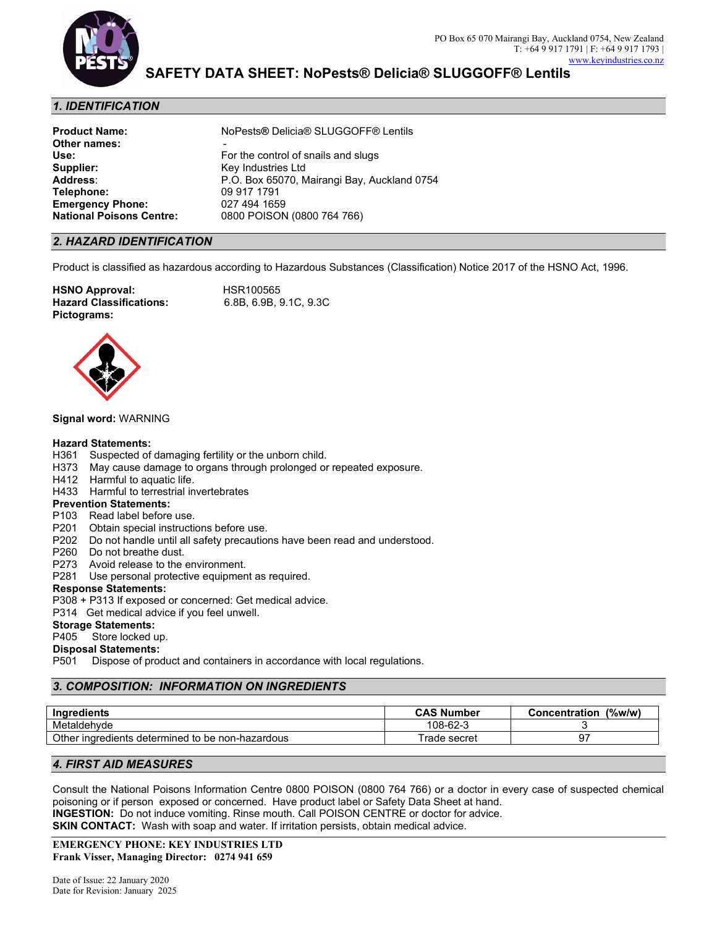

### *1. IDENTIFICATION*

| <b>Product Name:</b>            | NoPests® Delicia® SLUGGOFF® Lentils         |
|---------------------------------|---------------------------------------------|
| Other names:                    |                                             |
| Use:                            | For the control of snails and slugs         |
| Supplier:                       | Key Industries Ltd                          |
| Address:                        | P.O. Box 65070, Mairangi Bay, Auckland 0754 |
| <b>Telephone:</b>               | 09 917 1791                                 |
| <b>Emergency Phone:</b>         | 027 494 1659                                |
| <b>National Poisons Centre:</b> | 0800 POISON (0800 764 766)                  |
|                                 |                                             |

#### *2. HAZARD IDENTIFICATION*

Product is classified as hazardous according to Hazardous Substances (Classification) Notice 2017 of the HSNO Act, 1996.

**HSNO Approval:** HSR100565 **Hazard Classifications: Pictograms:**



#### **Signal word:** WARNING

#### **Hazard Statements:**

- H361 Suspected of damaging fertility or the unborn child.
- H373 May cause damage to organs through prolonged or repeated exposure.
- H412 Harmful to aquatic life.
- H433 Harmful to terrestrial invertebrates

#### **Prevention Statements:**

- P103 Read label before use.
- P201 Obtain special instructions before use.
- P202 Do not handle until all safety precautions have been read and understood.
- P260 Do not breathe dust.
- P273 Avoid release to the environment.
- P281 Use personal protective equipment as required.

#### **Response Statements:**

- P308 + P313 If exposed or concerned: Get medical advice.
- P314 Get medical advice if you feel unwell.

# **Storage Statements:**<br>P405 Store locked u

Store locked up.

#### **Disposal Statements:**

P501 Dispose of product and containers in accordance with local regulations.

#### *3. COMPOSITION: INFORMATION ON INGREDIENTS*

| <b>Ingredients</b>                                  | <b>CAS Number</b> | (%w/w)<br><b>Concentration</b> |
|-----------------------------------------------------|-------------------|--------------------------------|
| Metaldehyde                                         | $108 - 62 - ?$    |                                |
| Other ingredients<br>determined to be non-hazardous | ਾade secret       |                                |

#### *4. FIRST AID MEASURES*

Consult the National Poisons Information Centre 0800 POISON (0800 764 766) or a doctor in every case of suspected chemical poisoning or if person exposed or concerned. Have product label or Safety Data Sheet at hand. **INGESTION:** Do not induce vomiting. Rinse mouth. Call POISON CENTRE or doctor for advice. **SKIN CONTACT:** Wash with soap and water. If irritation persists, obtain medical advice.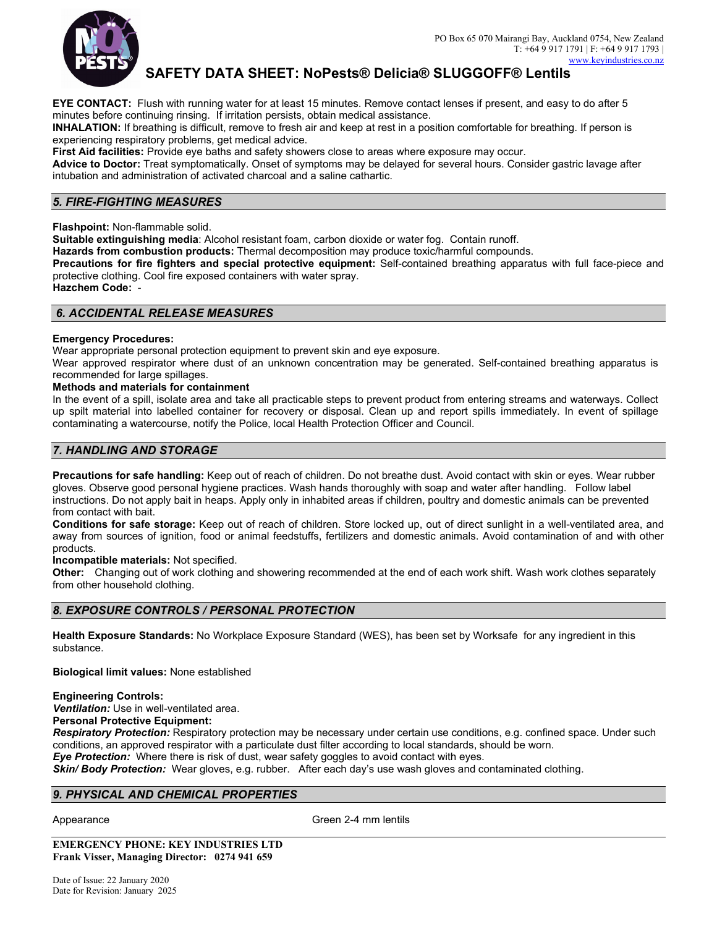

**EYE CONTACT:** Flush with running water for at least 15 minutes. Remove contact lenses if present, and easy to do after 5 minutes before continuing rinsing. If irritation persists, obtain medical assistance.

**INHALATION:** If breathing is difficult, remove to fresh air and keep at rest in a position comfortable for breathing. If person is experiencing respiratory problems, get medical advice.

**First Aid facilities:** Provide eye baths and safety showers close to areas where exposure may occur.

**Advice to Doctor:** Treat symptomatically. Onset of symptoms may be delayed for several hours. Consider gastric lavage after intubation and administration of activated charcoal and a saline cathartic.

#### *5. FIRE-FIGHTING MEASURES*

**Flashpoint:** Non-flammable solid.

**Suitable extinguishing media**: Alcohol resistant foam, carbon dioxide or water fog. Contain runoff.

**Hazards from combustion products:** Thermal decomposition may produce toxic/harmful compounds.

**Precautions for fire fighters and special protective equipment:** Self-contained breathing apparatus with full face-piece and protective clothing. Cool fire exposed containers with water spray.

**Hazchem Code:** -

#### *6. ACCIDENTAL RELEASE MEASURES*

#### **Emergency Procedures:**

Wear appropriate personal protection equipment to prevent skin and eye exposure.

Wear approved respirator where dust of an unknown concentration may be generated. Self-contained breathing apparatus is recommended for large spillages.

#### **Methods and materials for containment**

In the event of a spill, isolate area and take all practicable steps to prevent product from entering streams and waterways. Collect up spilt material into labelled container for recovery or disposal. Clean up and report spills immediately. In event of spillage contaminating a watercourse, notify the Police, local Health Protection Officer and Council.

#### *7. HANDLING AND STORAGE*

**Precautions for safe handling:** Keep out of reach of children. Do not breathe dust. Avoid contact with skin or eyes. Wear rubber gloves. Observe good personal hygiene practices. Wash hands thoroughly with soap and water after handling. Follow label instructions. Do not apply bait in heaps. Apply only in inhabited areas if children, poultry and domestic animals can be prevented from contact with bait.

**Conditions for safe storage:** Keep out of reach of children. Store locked up, out of direct sunlight in a well-ventilated area, and away from sources of ignition, food or animal feedstuffs, fertilizers and domestic animals. Avoid contamination of and with other products.

**Incompatible materials:** Not specified.

**Other:** Changing out of work clothing and showering recommended at the end of each work shift. Wash work clothes separately from other household clothing.

#### *8. EXPOSURE CONTROLS / PERSONAL PROTECTION*

**Health Exposure Standards:** No Workplace Exposure Standard (WES), has been set by Worksafe for any ingredient in this substance.

**Biological limit values:** None established

**Engineering Controls:** 

*Ventilation:* Use in well-ventilated area. **Personal Protective Equipment:**

*Respiratory Protection:* Respiratory protection may be necessary under certain use conditions, e.g. confined space. Under such conditions, an approved respirator with a particulate dust filter according to local standards, should be worn. *Eye Protection:*Where there is risk of dust, wear safety goggles to avoid contact with eyes.

*Skin/ Body Protection:* Wear gloves, e.g. rubber. After each day's use wash gloves and contaminated clothing.

#### *9. PHYSICAL AND CHEMICAL PROPERTIES*

Appearance **Green 2-4 mm** lentils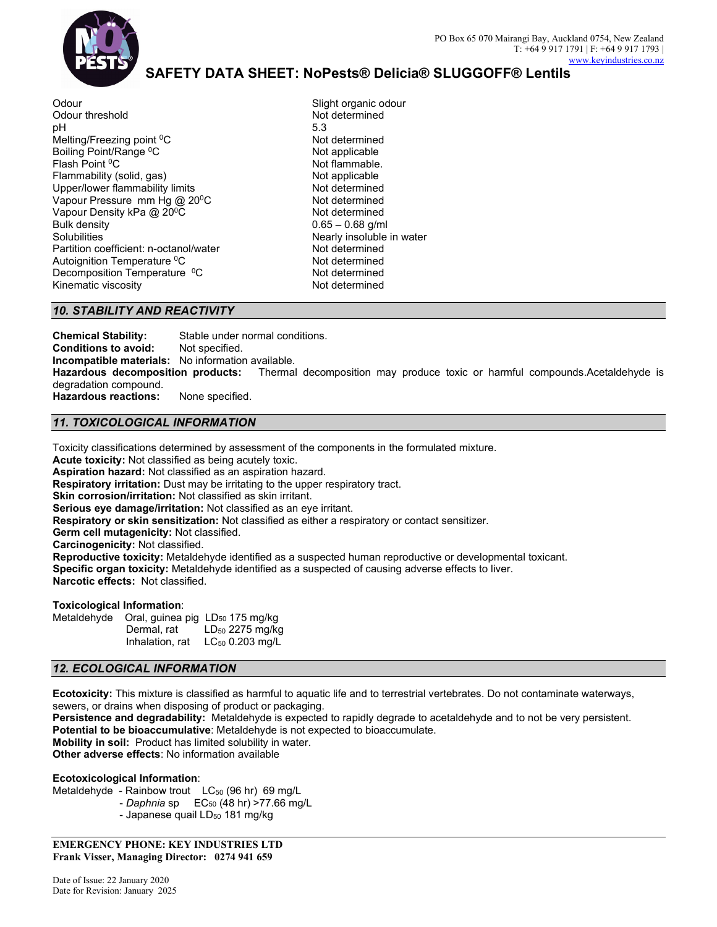

Slight organic odour

Odour Odour threshold pH Melting/Freezing point <sup>0</sup>C Boiling Point/Range <sup>0</sup>C Not applicable Flash Point <sup>0</sup>C Flammability (solid, gas) Upper/lower flammability limits Vapour Pressure mm Hg @ 20<sup>0</sup>C Not determined Vapour Density kPa @ 20<sup>0</sup>C Bulk density **Solubilities** Partition coefficient: n-octanol/water Autoignition Temperature<sup>0</sup>C Decomposition Temperature <sup>0</sup>C Kinematic viscosity

Not determined 5.3 Not determined Not flammable. Not applicable Not determined Not determined  $0.65 - 0.68$  g/ml Nearly insoluble in water Not determined<br>Not determined Not determined Not determined

#### *10. STABILITY AND REACTIVITY*

**Chemical Stability:** Stable under normal conditions. **Conditions to avoid:** Not specified. **Incompatible materials:** No information available. **Hazardous decomposition products:** Thermal decomposition may produce toxic or harmful compounds.Acetaldehyde is degradation compound. **Hazardous reactions:** None specified.

#### *11. TOXICOLOGICAL INFORMATION*

Toxicity classifications determined by assessment of the components in the formulated mixture.

**Acute toxicity:** Not classified as being acutely toxic.

**Aspiration hazard:** Not classified as an aspiration hazard.

**Respiratory irritation:** Dust may be irritating to the upper respiratory tract.

**Skin corrosion/irritation:** Not classified as skin irritant.

**Serious eye damage/irritation:** Not classified as an eye irritant.

**Respiratory or skin sensitization:** Not classified as either a respiratory or contact sensitizer.

**Germ cell mutagenicity:** Not classified.

**Carcinogenicity:** Not classified.

**Reproductive toxicity:** Metaldehyde identified as a suspected human reproductive or developmental toxicant. **Specific organ toxicity:** Metaldehyde identified as a suspected of causing adverse effects to liver. **Narcotic effects:** Not classified.

#### **Toxicological Information**:

Metaldehyde Oral, guinea pig LD<sub>50</sub> 175 mg/kg Dermal, rat LD<sub>50</sub> 2275 mg/kg Inhalation, rat LC<sub>50</sub> 0.203 mg/L

#### *12. ECOLOGICAL INFORMATION*

**Ecotoxicity:** This mixture is classified as harmful to aquatic life and to terrestrial vertebrates. Do not contaminate waterways, sewers, or drains when disposing of product or packaging.

**Persistence and degradability:** Metaldehyde is expected to rapidly degrade to acetaldehyde and to not be very persistent. **Potential to be bioaccumulative**: Metaldehyde is not expected to bioaccumulate. **Mobility in soil:** Product has limited solubility in water.

**Other adverse effects**: No information available

#### **Ecotoxicological Information**:

Metaldehyde - Rainbow trout LC<sub>50</sub> (96 hr) 69 mg/L - *Daphnia* sp EC<sub>50</sub> (48 hr) >77.66 mg/L - Japanese quail LD<sub>50</sub> 181 mg/kg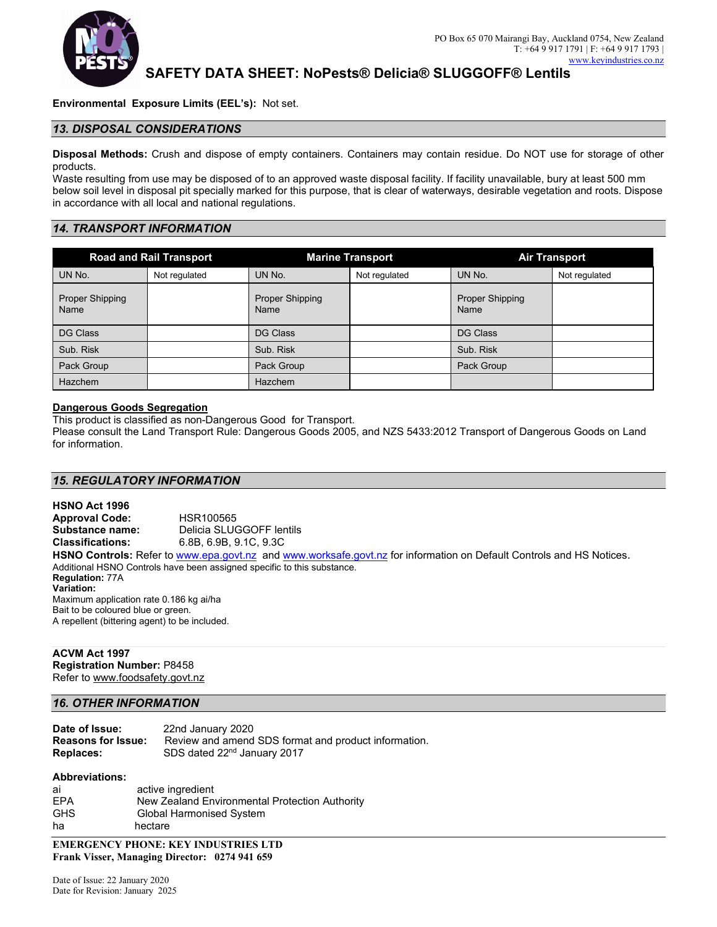

**Environmental Exposure Limits (EEL's):** Not set.

#### *13. DISPOSAL CONSIDERATIONS*

**Disposal Methods:** Crush and dispose of empty containers. Containers may contain residue. Do NOT use for storage of other products.

Waste resulting from use may be disposed of to an approved waste disposal facility. If facility unavailable, bury at least 500 mm below soil level in disposal pit specially marked for this purpose, that is clear of waterways, desirable vegetation and roots. Dispose in accordance with all local and national regulations.

## *14. TRANSPORT INFORMATION*

|                                | <b>Road and Rail Transport</b> |                                | <b>Marine Transport</b> |                                | <b>Air Transport</b> |
|--------------------------------|--------------------------------|--------------------------------|-------------------------|--------------------------------|----------------------|
| UN No.                         | Not regulated                  | UN No.                         | Not regulated           | UN No.                         | Not regulated        |
| <b>Proper Shipping</b><br>Name |                                | <b>Proper Shipping</b><br>Name |                         | <b>Proper Shipping</b><br>Name |                      |
| DG Class                       |                                | <b>DG Class</b>                |                         | <b>DG Class</b>                |                      |
| Sub. Risk                      |                                | Sub. Risk                      |                         | Sub. Risk                      |                      |
| Pack Group                     |                                | Pack Group                     |                         | Pack Group                     |                      |
| <b>Hazchem</b>                 |                                | <b>Hazchem</b>                 |                         |                                |                      |

#### **Dangerous Goods Segregation**

This product is classified as non-Dangerous Good for Transport.

Please consult the Land Transport Rule: Dangerous Goods 2005, and NZS 5433:2012 Transport of Dangerous Goods on Land for information.

#### *15. REGULATORY INFORMATION*

**HSNO Act 1996 Approval Code:** HSR100565 **Substance name:** Delicia SLUGGOFF lentils **Classifications:** 6.8B, 6.9B, 9.1C, 9.3C **HSNO Controls:** Refer t[o www.epa.govt.nz](http://www.epa.govt.nz/) an[d www.worksafe.govt.nz](http://www.worksafe.govt.nz/) for information on Default Controls and HS Notices. Additional HSNO Controls have been assigned specific to this substance. **Regulation:** 77A **Variation:** Maximum application rate 0.186 kg ai/ha Bait to be coloured blue or green. A repellent (bittering agent) to be included.

## **ACVM Act 1997**

**Registration Number:** P8458 Refer t[o www.foodsafety.govt.nz](http://www.foodsafety.govt.nz/)

#### *16. OTHER INFORMATION*

| Date of Issue:            | 22nd January 2020                                    |
|---------------------------|------------------------------------------------------|
| <b>Reasons for Issue:</b> | Review and amend SDS format and product information. |
| <b>Replaces:</b>          | SDS dated 22 <sup>nd</sup> January 2017              |

#### **Abbreviations:**

| ai         | active ingredient                              |
|------------|------------------------------------------------|
| EPA        | New Zealand Environmental Protection Authority |
| <b>GHS</b> | <b>Global Harmonised System</b>                |
| ha         | hectare                                        |